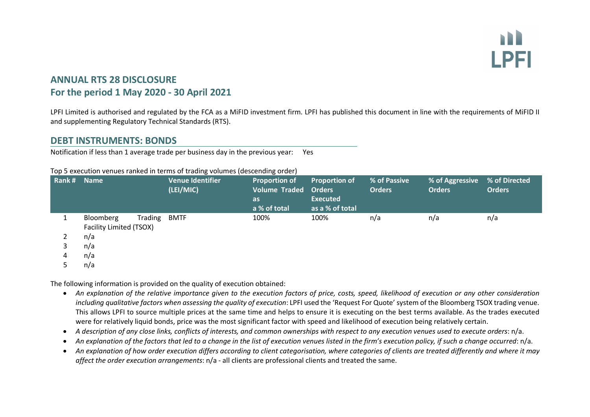

# **ANNUAL RTS 28 DISCLOSURE For the period 1 May 2020 - 30 April 2021**

LPFI Limited is authorised and regulated by the FCA as a MiFID investment firm. LPFI has published this document in line with the requirements of MiFID II and supplementing Regulatory Technical Standards (RTS).

## **DEBT INSTRUMENTS: BONDS**

Notification if less than 1 average trade per business day in the previous year: Yes

#### Top 5 execution venues ranked in terms of trading volumes (descending order)

| Rank# Name |                                      |         | <b>Venue Identifier</b><br>(LEI/MIC) | <b>Proportion of</b><br><b>Volume Traded Orders</b><br>as.<br>a % of total | <b>Proportion of</b><br><b>Executed</b><br>as a % of total | % of Passive<br><b>Orders</b> | % of Aggressive % of Directed<br><b>Orders</b> | <b>Orders</b> |
|------------|--------------------------------------|---------|--------------------------------------|----------------------------------------------------------------------------|------------------------------------------------------------|-------------------------------|------------------------------------------------|---------------|
|            | Bloomberg<br>Facility Limited (TSOX) | Trading | BMTF                                 | 100%                                                                       | 100%                                                       | n/a                           | n/a                                            | n/a           |
|            | n/a                                  |         |                                      |                                                                            |                                                            |                               |                                                |               |
| 3          | n/a                                  |         |                                      |                                                                            |                                                            |                               |                                                |               |
| 4          | n/a                                  |         |                                      |                                                                            |                                                            |                               |                                                |               |
|            | n/a                                  |         |                                      |                                                                            |                                                            |                               |                                                |               |

The following information is provided on the quality of execution obtained:

- *An explanation of the relative importance given to the execution factors of price, costs, speed, likelihood of execution or any other consideration including qualitative factors when assessing the quality of execution*: LPFI used the 'Request For Quote' system of the Bloomberg TSOX trading venue. This allows LPFI to source multiple prices at the same time and helps to ensure it is executing on the best terms available. As the trades executed were for relatively liquid bonds, price was the most significant factor with speed and likelihood of execution being relatively certain.
- *A description of any close links, conflicts of interests, and common ownerships with respect to any execution venues used to execute orders*: n/a.
- *An explanation of the factors that led to a change in the list of execution venues listed in the firm's execution policy, if such a change occurred*: n/a.
- *An explanation of how order execution differs according to client categorisation, where categories of clients are treated differently and where it may affect the order execution arrangements*: n/a - all clients are professional clients and treated the same.